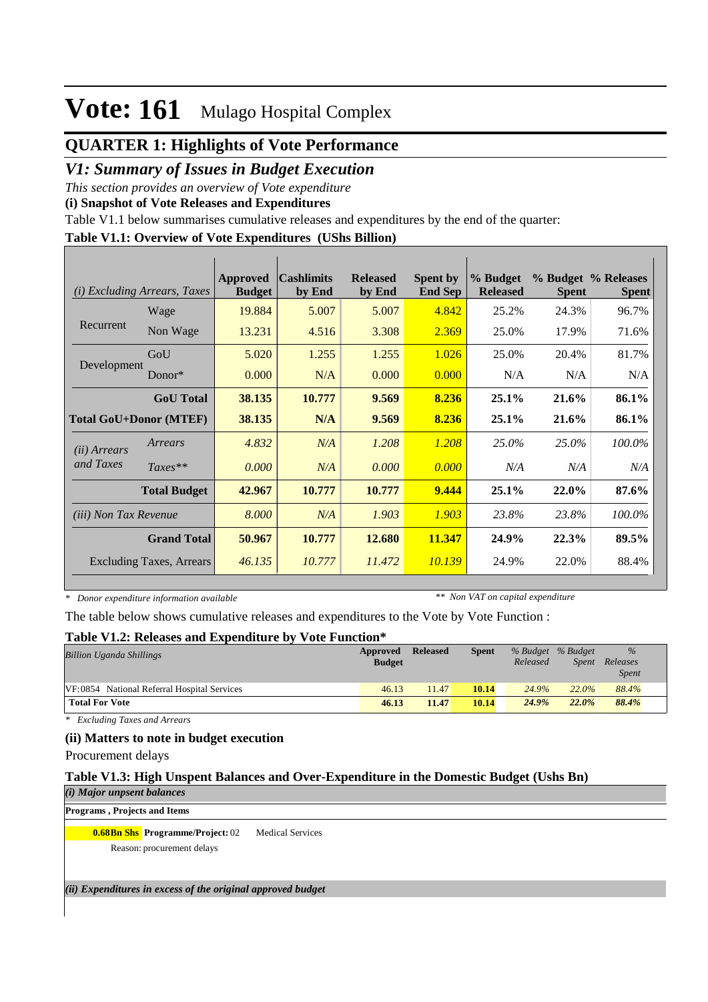### **QUARTER 1: Highlights of Vote Performance**

### *V1: Summary of Issues in Budget Execution*

*This section provides an overview of Vote expenditure* 

**(i) Snapshot of Vote Releases and Expenditures**

Table V1.1 below summarises cumulative releases and expenditures by the end of the quarter:

#### **Table V1.1: Overview of Vote Expenditures (UShs Billion)**

| (i)                           | <i>Excluding Arrears, Taxes</i> | <b>Approved</b><br><b>Budget</b> | <b>Cashlimits</b><br>by End | <b>Released</b><br>by End | <b>Spent by</b><br><b>End Sep</b> | % Budget<br><b>Released</b> | <b>Spent</b> | % Budget % Releases<br><b>Spent</b> |
|-------------------------------|---------------------------------|----------------------------------|-----------------------------|---------------------------|-----------------------------------|-----------------------------|--------------|-------------------------------------|
|                               | Wage                            | 19.884                           | 5.007                       | 5.007                     | 4.842                             | 25.2%                       | 24.3%        | 96.7%                               |
| Recurrent                     | Non Wage                        | 13.231                           | 4.516                       | 3.308                     | 2.369                             | 25.0%                       | 17.9%        | 71.6%                               |
|                               | GoU                             | 5.020                            | 1.255                       | 1.255                     | 1.026                             | 25.0%                       | 20.4%        | 81.7%                               |
| Development                   | Donor $*$                       | 0.000                            | N/A                         | 0.000                     | 0.000                             | N/A                         | N/A          | N/A                                 |
|                               | <b>GoU</b> Total                | 38.135                           | 10.777                      | 9.569                     | 8.236                             | $25.1\%$                    | 21.6%        | 86.1%                               |
| <b>Total GoU+Donor (MTEF)</b> |                                 | 38.135                           | N/A                         | 9.569                     | 8.236                             | 25.1%                       | 21.6%        | 86.1%                               |
| ( <i>ii</i> ) Arrears         | Arrears                         | 4.832                            | N/A                         | 1.208                     | 1.208                             | 25.0%                       | 25.0%        | 100.0%                              |
| and Taxes                     | $Taxes**$                       | 0.000                            | N/A                         | 0.000                     | 0.000                             | N/A                         | N/A          | N/A                                 |
|                               | <b>Total Budget</b>             | 42.967                           | 10.777                      | 10.777                    | 9.444                             | 25.1%                       | 22.0%        | 87.6%                               |
| <i>(iii)</i> Non Tax Revenue  |                                 | 8.000                            | N/A                         | 1.903                     | 1.903                             | 23.8%                       | 23.8%        | 100.0%                              |
|                               | <b>Grand Total</b>              | 50.967                           | 10.777                      | 12.680                    | 11.347                            | 24.9%                       | 22.3%        | 89.5%                               |
|                               | <b>Excluding Taxes, Arrears</b> | 46.135                           | 10.777                      | 11.472                    | 10.139                            | 24.9%                       | 22.0%        | 88.4%                               |

*\* Donor expenditure information available*

*\*\* Non VAT on capital expenditure*

The table below shows cumulative releases and expenditures to the Vote by Vote Function :

#### **Table V1.2: Releases and Expenditure by Vote Function\***

| <b>Billion Uganda Shillings</b>             | Approved<br><b>Budget</b> | Released | <b>Spent</b> | Released | % Budget % Budget<br>Spent | $\frac{9}{6}$<br>Releases<br><b>Spent</b> |
|---------------------------------------------|---------------------------|----------|--------------|----------|----------------------------|-------------------------------------------|
| VF:0854 National Referral Hospital Services | 46.13                     | 11.47    | 10.14        | 24.9%    | 22.0%                      | 88.4%                                     |
| <b>Total For Vote</b>                       | 46.13                     | 11.47    | 10.14        | 24.9%    | $22.0\%$                   | 88.4%                                     |

*\* Excluding Taxes and Arrears*

#### **(ii) Matters to note in budget execution**

Procurement delays

#### **Table V1.3: High Unspent Balances and Over-Expenditure in the Domestic Budget (Ushs Bn)**

*(i) Major unpsent balances* **Programs , Projects and Items**

**0.68Bn Shs Programme/Project: 02 Medical Services** 

Reason: procurement delays

*(ii) Expenditures in excess of the original approved budget*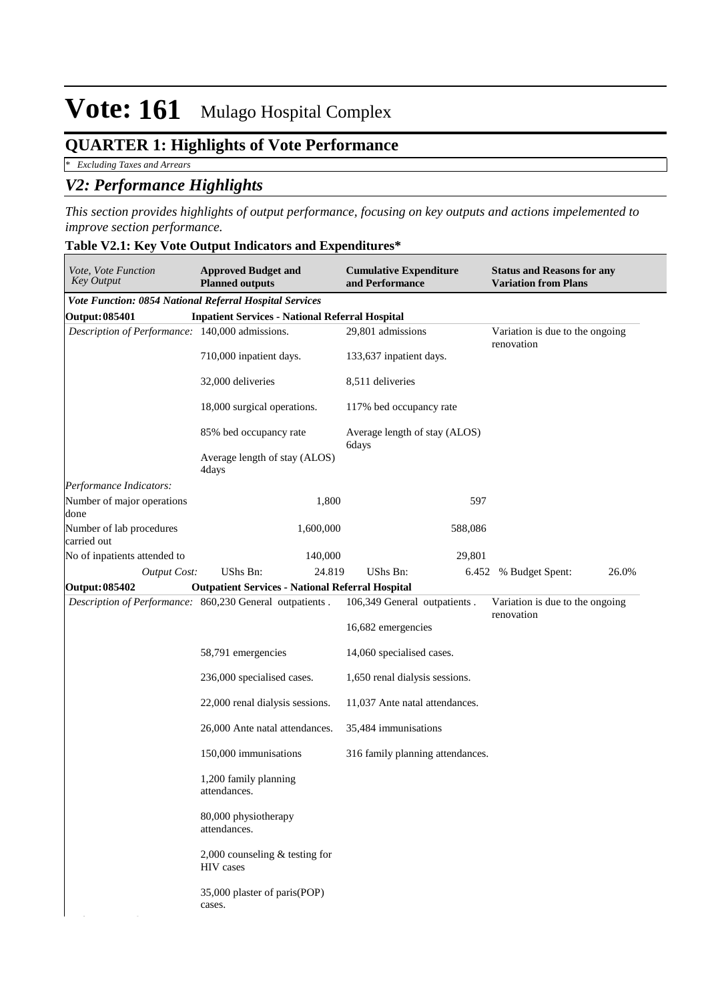## **QUARTER 1: Highlights of Vote Performance**

*\* Excluding Taxes and Arrears*

### *V2: Performance Highlights*

*This section provides highlights of output performance, focusing on key outputs and actions impelemented to improve section performance.*

|  | Table V2.1: Key Vote Output Indicators and Expenditures* |
|--|----------------------------------------------------------|
|  |                                                          |

| Vote, Vote Function<br><b>Approved Budget and</b><br><b>Key Output</b><br><b>Planned outputs</b> |                                                         |           | <b>Cumulative Expenditure</b><br>and Performance |         | <b>Status and Reasons for any</b><br><b>Variation from Plans</b> |       |  |
|--------------------------------------------------------------------------------------------------|---------------------------------------------------------|-----------|--------------------------------------------------|---------|------------------------------------------------------------------|-------|--|
| Vote Function: 0854 National Referral Hospital Services                                          |                                                         |           |                                                  |         |                                                                  |       |  |
| Output: 085401                                                                                   | <b>Inpatient Services - National Referral Hospital</b>  |           |                                                  |         |                                                                  |       |  |
| Description of Performance: 140,000 admissions.                                                  |                                                         |           | 29,801 admissions                                |         | Variation is due to the ongoing<br>renovation                    |       |  |
|                                                                                                  | 710,000 inpatient days.                                 |           | 133,637 inpatient days.                          |         |                                                                  |       |  |
|                                                                                                  | 32,000 deliveries                                       |           | 8,511 deliveries                                 |         |                                                                  |       |  |
|                                                                                                  | 18,000 surgical operations.                             |           | 117% bed occupancy rate                          |         |                                                                  |       |  |
|                                                                                                  | 85% bed occupancy rate                                  |           | Average length of stay (ALOS)<br>6days           |         |                                                                  |       |  |
|                                                                                                  | Average length of stay (ALOS)<br>4days                  |           |                                                  |         |                                                                  |       |  |
| Performance Indicators:                                                                          |                                                         |           |                                                  |         |                                                                  |       |  |
| Number of major operations<br>done                                                               |                                                         | 1,800     |                                                  | 597     |                                                                  |       |  |
| Number of lab procedures<br>carried out                                                          |                                                         | 1,600,000 |                                                  | 588,086 |                                                                  |       |  |
| No of inpatients attended to                                                                     |                                                         | 140,000   |                                                  | 29,801  |                                                                  |       |  |
| <b>Output Cost:</b>                                                                              | UShs Bn:                                                | 24.819    | UShs Bn:                                         | 6.452   | % Budget Spent:                                                  | 26.0% |  |
| Output: 085402                                                                                   | <b>Outpatient Services - National Referral Hospital</b> |           |                                                  |         |                                                                  |       |  |
| Description of Performance: 860,230 General outpatients.                                         |                                                         |           | 106,349 General outpatients.                     |         | Variation is due to the ongoing<br>renovation                    |       |  |
|                                                                                                  |                                                         |           | 16,682 emergencies                               |         |                                                                  |       |  |
|                                                                                                  | 58,791 emergencies                                      |           | 14,060 specialised cases.                        |         |                                                                  |       |  |
|                                                                                                  | 236,000 specialised cases.                              |           | 1,650 renal dialysis sessions.                   |         |                                                                  |       |  |
|                                                                                                  | 22,000 renal dialysis sessions.                         |           | 11,037 Ante natal attendances.                   |         |                                                                  |       |  |
|                                                                                                  | 26,000 Ante natal attendances.                          |           | 35,484 immunisations                             |         |                                                                  |       |  |
|                                                                                                  | 150,000 immunisations                                   |           | 316 family planning attendances.                 |         |                                                                  |       |  |
|                                                                                                  | 1,200 family planning<br>attendances.                   |           |                                                  |         |                                                                  |       |  |
|                                                                                                  | 80,000 physiotherapy<br>attendances.                    |           |                                                  |         |                                                                  |       |  |
|                                                                                                  | 2,000 counseling $&$ testing for<br>HIV cases           |           |                                                  |         |                                                                  |       |  |
|                                                                                                  | 35,000 plaster of paris(POP)<br>cases.                  |           |                                                  |         |                                                                  |       |  |
|                                                                                                  |                                                         |           |                                                  |         |                                                                  |       |  |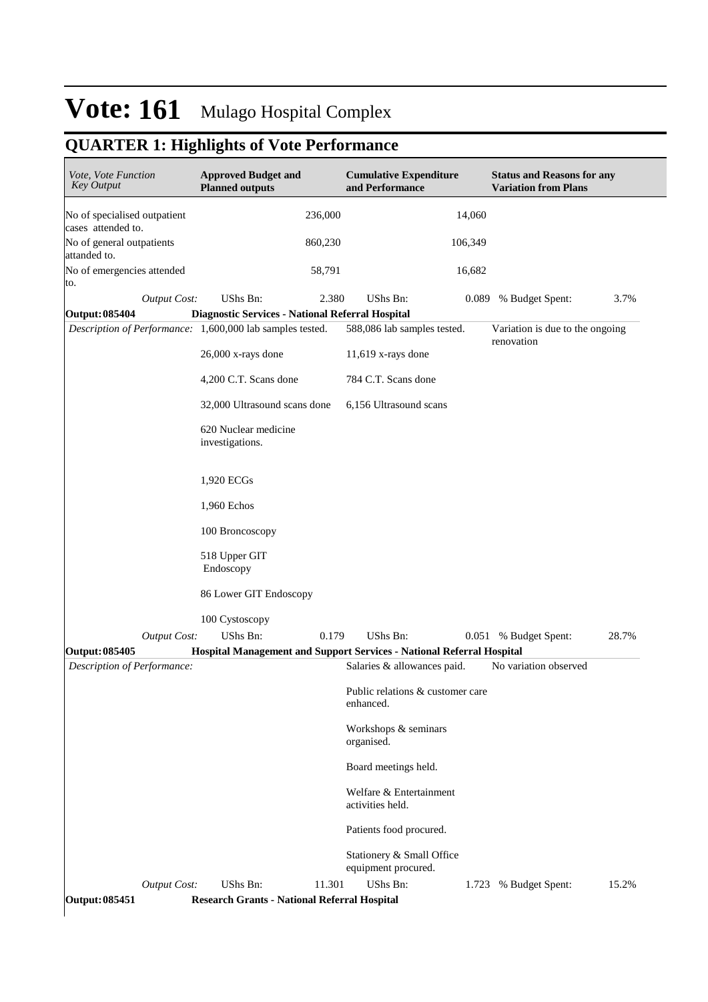## **QUARTER 1: Highlights of Vote Performance**

| Vote, Vote Function<br><b>Key Output</b>        |                     | <b>Approved Budget and</b><br><b>Planned outputs</b>      |         | <b>Cumulative Expenditure</b><br>and Performance                                  |         | <b>Status and Reasons for any</b><br><b>Variation from Plans</b> |       |
|-------------------------------------------------|---------------------|-----------------------------------------------------------|---------|-----------------------------------------------------------------------------------|---------|------------------------------------------------------------------|-------|
| No of specialised outpatient                    |                     |                                                           | 236,000 |                                                                                   | 14,060  |                                                                  |       |
| cases attended to.<br>No of general outpatients |                     |                                                           | 860,230 |                                                                                   | 106,349 |                                                                  |       |
| attanded to.<br>No of emergencies attended      |                     |                                                           | 58,791  |                                                                                   | 16,682  |                                                                  |       |
| to.                                             | <b>Output Cost:</b> | UShs Bn:                                                  | 2.380   | UShs Bn:                                                                          | 0.089   | % Budget Spent:                                                  | 3.7%  |
| Output: 085404                                  |                     | Diagnostic Services - National Referral Hospital          |         |                                                                                   |         |                                                                  |       |
|                                                 |                     | Description of Performance: 1,600,000 lab samples tested. |         | 588,086 lab samples tested.                                                       |         | Variation is due to the ongoing<br>renovation                    |       |
|                                                 |                     | $26,000$ x-rays done                                      |         | $11,619$ x-rays done                                                              |         |                                                                  |       |
|                                                 |                     | 4,200 C.T. Scans done                                     |         | 784 C.T. Scans done                                                               |         |                                                                  |       |
|                                                 |                     | 32,000 Ultrasound scans done                              |         | 6,156 Ultrasound scans                                                            |         |                                                                  |       |
|                                                 |                     | 620 Nuclear medicine<br>investigations.                   |         |                                                                                   |         |                                                                  |       |
|                                                 |                     | 1,920 ECGs                                                |         |                                                                                   |         |                                                                  |       |
|                                                 |                     | 1,960 Echos                                               |         |                                                                                   |         |                                                                  |       |
|                                                 |                     | 100 Broncoscopy                                           |         |                                                                                   |         |                                                                  |       |
|                                                 |                     | 518 Upper GIT<br>Endoscopy                                |         |                                                                                   |         |                                                                  |       |
|                                                 |                     | 86 Lower GIT Endoscopy                                    |         |                                                                                   |         |                                                                  |       |
|                                                 |                     | 100 Cystoscopy                                            |         |                                                                                   |         |                                                                  |       |
| Output: 085405                                  | <b>Output Cost:</b> | UShs Bn:                                                  | 0.179   | UShs Bn:<br>Hospital Management and Support Services - National Referral Hospital | 0.051   | % Budget Spent:                                                  | 28.7% |
| Description of Performance:                     |                     |                                                           |         | Salaries & allowances paid.                                                       |         | No variation observed                                            |       |
|                                                 |                     |                                                           |         | Public relations & customer care<br>enhanced.                                     |         |                                                                  |       |
|                                                 |                     |                                                           |         | Workshops & seminars<br>organised.                                                |         |                                                                  |       |
|                                                 |                     |                                                           |         | Board meetings held.                                                              |         |                                                                  |       |
|                                                 |                     |                                                           |         | Welfare & Entertainment<br>activities held.                                       |         |                                                                  |       |
|                                                 |                     |                                                           |         | Patients food procured.                                                           |         |                                                                  |       |
|                                                 |                     |                                                           |         | Stationery & Small Office<br>equipment procured.                                  |         |                                                                  |       |
|                                                 | <b>Output Cost:</b> | UShs Bn:                                                  | 11.301  | UShs Bn:                                                                          |         | 1.723 % Budget Spent:                                            | 15.2% |
| <b>Output: 085451</b>                           |                     | <b>Research Grants - National Referral Hospital</b>       |         |                                                                                   |         |                                                                  |       |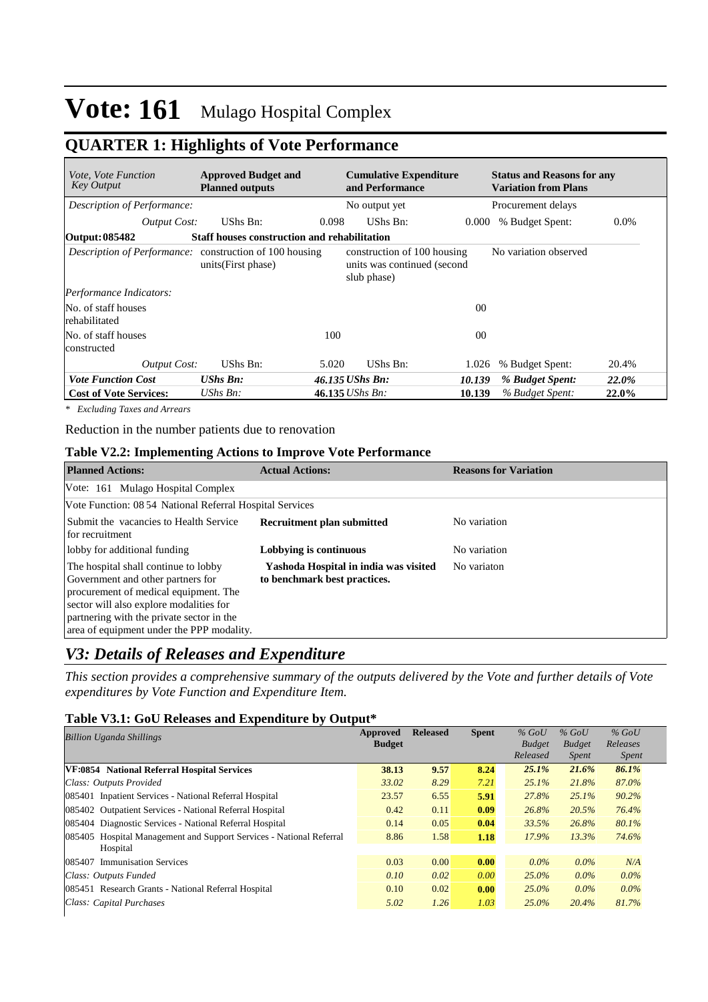## **QUARTER 1: Highlights of Vote Performance**

| <i>Vote, Vote Function</i><br>Key Output                       | <b>Approved Budget and</b><br><b>Planned outputs</b> |       | <b>Cumulative Expenditure</b><br>and Performance                          |                | <b>Status and Reasons for any</b><br><b>Variation from Plans</b> |         |
|----------------------------------------------------------------|------------------------------------------------------|-------|---------------------------------------------------------------------------|----------------|------------------------------------------------------------------|---------|
| Description of Performance:                                    |                                                      |       | No output yet                                                             |                | Procurement delays                                               |         |
| <b>Output Cost:</b>                                            | UShs Bn:                                             | 0.098 | UShs Bn:                                                                  | 0.000          | % Budget Spent:                                                  | $0.0\%$ |
| Output: 085482                                                 | <b>Staff houses construction and rehabilitation</b>  |       |                                                                           |                |                                                                  |         |
| <i>Description of Performance:</i> construction of 100 housing | units (First phase)                                  |       | construction of 100 housing<br>units was continued (second<br>slub phase) |                | No variation observed                                            |         |
| Performance Indicators:                                        |                                                      |       |                                                                           |                |                                                                  |         |
| No. of staff houses<br>rehabilitated                           |                                                      |       |                                                                           | 0 <sup>0</sup> |                                                                  |         |
| No. of staff houses<br>constructed                             |                                                      | 100   |                                                                           | 0 <sup>0</sup> |                                                                  |         |
| Output Cost:                                                   | UShs Bn:                                             | 5.020 | UShs Bn:                                                                  | 1.026          | % Budget Spent:                                                  | 20.4%   |
| <b>Vote Function Cost</b>                                      | <b>UShs Bn:</b>                                      |       | 46.135 UShs Bn:                                                           | 10.139         | % Budget Spent:                                                  | 22.0%   |
| <b>Cost of Vote Services:</b>                                  | UShs Bn:                                             |       | $46.135$ UShs Bn:                                                         | 10.139         | % Budget Spent:                                                  | 22.0%   |

*\* Excluding Taxes and Arrears*

Reduction in the number patients due to renovation

#### **Table V2.2: Implementing Actions to Improve Vote Performance**

| <b>Planned Actions:</b>                                                                                                                                                                                                                                 | <b>Actual Actions:</b>                                                | <b>Reasons for Variation</b> |
|---------------------------------------------------------------------------------------------------------------------------------------------------------------------------------------------------------------------------------------------------------|-----------------------------------------------------------------------|------------------------------|
| Vote: 161 Mulago Hospital Complex                                                                                                                                                                                                                       |                                                                       |                              |
| Vote Function: 08 54 National Referral Hospital Services                                                                                                                                                                                                |                                                                       |                              |
| Submit the vacancies to Health Service<br>for recruitment                                                                                                                                                                                               | <b>Recruitment plan submitted</b>                                     | No variation                 |
| lobby for additional funding                                                                                                                                                                                                                            | Lobbying is continuous                                                | No variation                 |
| The hospital shall continue to lobby<br>Government and other partners for<br>procurement of medical equipment. The<br>sector will also explore modalities for<br>partnering with the private sector in the<br>area of equipment under the PPP modality. | Yashoda Hospital in india was visited<br>to benchmark best practices. | No variaton                  |

### *V3: Details of Releases and Expenditure*

*This section provides a comprehensive summary of the outputs delivered by the Vote and further details of Vote expenditures by Vote Function and Expenditure Item.*

#### **Table V3.1: GoU Releases and Expenditure by Output\***

| <b>Billion Uganda Shillings</b>                                     | Approved<br><b>Budget</b> | <b>Released</b> | <b>Spent</b> | $%$ GoU<br><b>Budget</b><br>Released | $%$ GoU<br><b>Budget</b><br><i>Spent</i> | $%$ GoU<br>Releases<br><i>Spent</i> |
|---------------------------------------------------------------------|---------------------------|-----------------|--------------|--------------------------------------|------------------------------------------|-------------------------------------|
| VF:0854 National Referral Hospital Services                         | 38.13                     | 9.57            | 8.24         | 25.1%                                | 21.6%                                    | 86.1%                               |
| Class: Outputs Provided                                             | 33.02                     | 8.29            | 7.21         | $25.1\%$                             | 21.8%                                    | 87.0%                               |
| 085401 Inpatient Services - National Referral Hospital              | 23.57                     | 6.55            | 5.91         | 27.8%                                | $25.1\%$                                 | 90.2%                               |
| 085402 Outpatient Services - National Referral Hospital             | 0.42                      | 0.11            | 0.09         | 26.8%                                | 20.5%                                    | 76.4%                               |
| 085404 Diagnostic Services - National Referral Hospital             | 0.14                      | 0.05            | 0.04         | 33.5%                                | 26.8%                                    | 80.1%                               |
| 085405 Hospital Management and Support Services - National Referral | 8.86                      | 1.58            | 1.18         | 17.9%                                | 13.3%                                    | 74.6%                               |
| Hospital                                                            |                           |                 |              |                                      |                                          |                                     |
| <b>Immunisation Services</b><br>085407                              | 0.03                      | 0.00            | 0.00         | $0.0\%$                              | $0.0\%$                                  | N/A                                 |
| Class: Outputs Funded                                               | 0.10                      | 0.02            | 0.00         | $25.0\%$                             | $0.0\%$                                  | $0.0\%$                             |
| 085451 Research Grants - National Referral Hospital                 | 0.10                      | 0.02            | 0.00         | $25.0\%$                             | $0.0\%$                                  | $0.0\%$                             |
| Class: Capital Purchases                                            | 5.02                      | 1.26            | 1.03         | $25.0\%$                             | 20.4%                                    | 81.7%                               |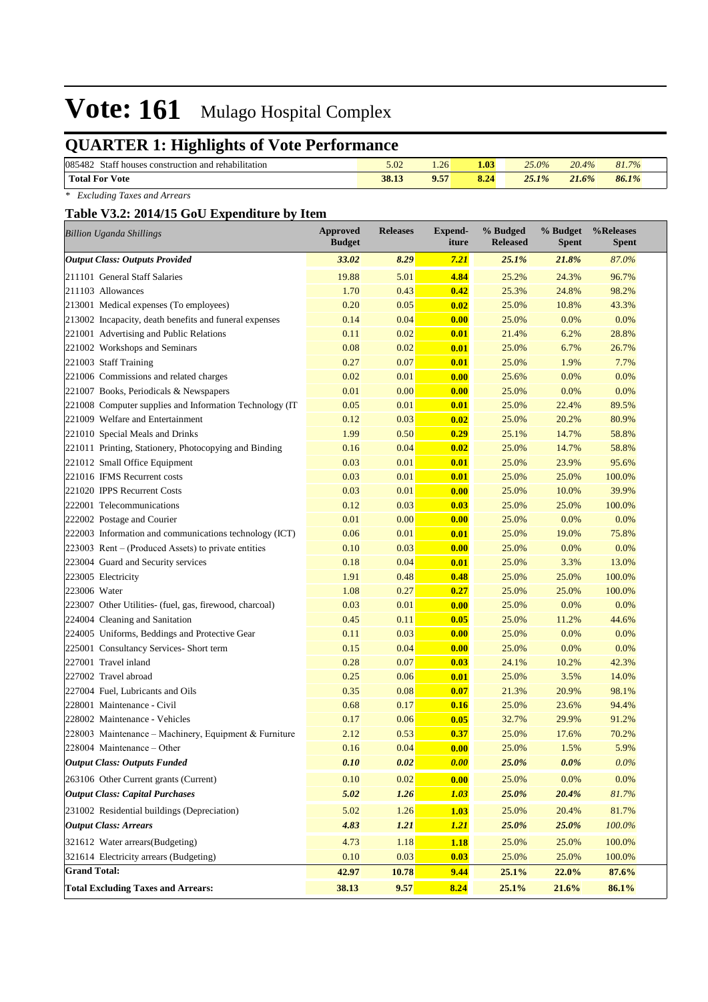## **QUARTER 1: Highlights of Vote Performance**

| 085482<br>Staff b<br>l rehabilitation<br>t houses construction and r | 5.02  | 1.26 | 1.03 | 25.0% | 20.4% | 81.7% |
|----------------------------------------------------------------------|-------|------|------|-------|-------|-------|
| <b>Total For</b><br><b>Vote</b>                                      | 38.13 | 9.57 | 8.24 | 25.1% | 21.6% | 86.1% |

*\* Excluding Taxes and Arrears*

#### **Table V3.2: 2014/15 GoU Expenditure by Item**

| <b>Billion Uganda Shillings</b>                          | <b>Approved</b><br><b>Budget</b> | <b>Releases</b> | <b>Expend-</b><br>iture | % Budged<br><b>Released</b> | % Budget<br><b>Spent</b> | %Releases<br><b>Spent</b> |
|----------------------------------------------------------|----------------------------------|-----------------|-------------------------|-----------------------------|--------------------------|---------------------------|
| <b>Output Class: Outputs Provided</b>                    | 33.02                            | 8.29            | 7.21                    | 25.1%                       | 21.8%                    | 87.0%                     |
| 211101 General Staff Salaries                            | 19.88                            | 5.01            | 4.84                    | 25.2%                       | 24.3%                    | 96.7%                     |
| 211103 Allowances                                        | 1.70                             | 0.43            | 0.42                    | 25.3%                       | 24.8%                    | 98.2%                     |
| 213001 Medical expenses (To employees)                   | 0.20                             | 0.05            | 0.02                    | 25.0%                       | 10.8%                    | 43.3%                     |
| 213002 Incapacity, death benefits and funeral expenses   | 0.14                             | 0.04            | 0.00                    | 25.0%                       | 0.0%                     | 0.0%                      |
| 221001 Advertising and Public Relations                  | 0.11                             | 0.02            | 0.01                    | 21.4%                       | 6.2%                     | 28.8%                     |
| 221002 Workshops and Seminars                            | 0.08                             | 0.02            | 0.01                    | 25.0%                       | 6.7%                     | 26.7%                     |
| 221003 Staff Training                                    | 0.27                             | 0.07            | 0.01                    | 25.0%                       | 1.9%                     | 7.7%                      |
| 221006 Commissions and related charges                   | 0.02                             | 0.01            | 0.00                    | 25.6%                       | 0.0%                     | 0.0%                      |
| 221007 Books, Periodicals & Newspapers                   | 0.01                             | 0.00            | 0.00                    | 25.0%                       | 0.0%                     | 0.0%                      |
| 221008 Computer supplies and Information Technology (IT) | 0.05                             | 0.01            | 0.01                    | 25.0%                       | 22.4%                    | 89.5%                     |
| 221009 Welfare and Entertainment                         | 0.12                             | 0.03            | 0.02                    | 25.0%                       | 20.2%                    | 80.9%                     |
| 221010 Special Meals and Drinks                          | 1.99                             | 0.50            | 0.29                    | 25.1%                       | 14.7%                    | 58.8%                     |
| 221011 Printing, Stationery, Photocopying and Binding    | 0.16                             | 0.04            | 0.02                    | 25.0%                       | 14.7%                    | 58.8%                     |
| 221012 Small Office Equipment                            | 0.03                             | 0.01            | 0.01                    | 25.0%                       | 23.9%                    | 95.6%                     |
| 221016 IFMS Recurrent costs                              | 0.03                             | 0.01            | 0.01                    | 25.0%                       | 25.0%                    | 100.0%                    |
| 221020 IPPS Recurrent Costs                              | 0.03                             | 0.01            | 0.00                    | 25.0%                       | 10.0%                    | 39.9%                     |
| 222001 Telecommunications                                | 0.12                             | 0.03            | 0.03                    | 25.0%                       | 25.0%                    | 100.0%                    |
| 222002 Postage and Courier                               | 0.01                             | 0.00            | 0.00                    | 25.0%                       | 0.0%                     | 0.0%                      |
| 222003 Information and communications technology (ICT)   | 0.06                             | 0.01            | 0.01                    | 25.0%                       | 19.0%                    | 75.8%                     |
| 223003 Rent – (Produced Assets) to private entities      | 0.10                             | 0.03            | 0.00                    | 25.0%                       | 0.0%                     | 0.0%                      |
| 223004 Guard and Security services                       | 0.18                             | 0.04            | 0.01                    | 25.0%                       | 3.3%                     | 13.0%                     |
| 223005 Electricity                                       | 1.91                             | 0.48            | 0.48                    | 25.0%                       | 25.0%                    | 100.0%                    |
| 223006 Water                                             | 1.08                             | 0.27            | 0.27                    | 25.0%                       | 25.0%                    | 100.0%                    |
| 223007 Other Utilities- (fuel, gas, firewood, charcoal)  | 0.03                             | 0.01            | 0.00                    | 25.0%                       | 0.0%                     | 0.0%                      |
| 224004 Cleaning and Sanitation                           | 0.45                             | 0.11            | 0.05                    | 25.0%                       | 11.2%                    | 44.6%                     |
| 224005 Uniforms, Beddings and Protective Gear            | 0.11                             | 0.03            | 0.00                    | 25.0%                       | 0.0%                     | 0.0%                      |
| 225001 Consultancy Services- Short term                  | 0.15                             | 0.04            | 0.00                    | 25.0%                       | 0.0%                     | 0.0%                      |
| 227001 Travel inland                                     | 0.28                             | 0.07            | 0.03                    | 24.1%                       | 10.2%                    | 42.3%                     |
| 227002 Travel abroad                                     | 0.25                             | 0.06            | 0.01                    | 25.0%                       | 3.5%                     | 14.0%                     |
| 227004 Fuel, Lubricants and Oils                         | 0.35                             | 0.08            | 0.07                    | 21.3%                       | 20.9%                    | 98.1%                     |
| 228001 Maintenance - Civil                               | 0.68                             | 0.17            | 0.16                    | 25.0%                       | 23.6%                    | 94.4%                     |
| 228002 Maintenance - Vehicles                            | 0.17                             | 0.06            | 0.05                    | 32.7%                       | 29.9%                    | 91.2%                     |
| 228003 Maintenance – Machinery, Equipment & Furniture    | 2.12                             | 0.53            | 0.37                    | 25.0%                       | 17.6%                    | 70.2%                     |
| 228004 Maintenance – Other                               | 0.16                             | 0.04            | 0.00                    | 25.0%                       | 1.5%                     | 5.9%                      |
| <b>Output Class: Outputs Funded</b>                      | 0.10                             | 0.02            | 0.00                    | 25.0%                       | $0.0\%$                  | $0.0\%$                   |
| 263106 Other Current grants (Current)                    | 0.10                             | 0.02            | 0.00                    | 25.0%                       | 0.0%                     | 0.0%                      |
| <b>Output Class: Capital Purchases</b>                   | 5.02                             | 1.26            | 1.03                    | 25.0%                       | 20.4%                    | 81.7%                     |
| 231002 Residential buildings (Depreciation)              | 5.02                             | 1.26            | 1.03                    | 25.0%                       | 20.4%                    | 81.7%                     |
| <b>Output Class: Arrears</b>                             | 4.83                             | 1.21            | <b>1.21</b>             | 25.0%                       | 25.0%                    | 100.0%                    |
| 321612 Water arrears(Budgeting)                          | 4.73                             | 1.18            | 1.18                    | 25.0%                       | 25.0%                    | 100.0%                    |
| 321614 Electricity arrears (Budgeting)                   | 0.10                             | 0.03            | 0.03                    | 25.0%                       | 25.0%                    | 100.0%                    |
| <b>Grand Total:</b>                                      | 42.97                            | 10.78           | 9.44                    | 25.1%                       | 22.0%                    | 87.6%                     |
| <b>Total Excluding Taxes and Arrears:</b>                | 38.13                            | 9.57            | 8.24                    | 25.1%                       | 21.6%                    | 86.1%                     |